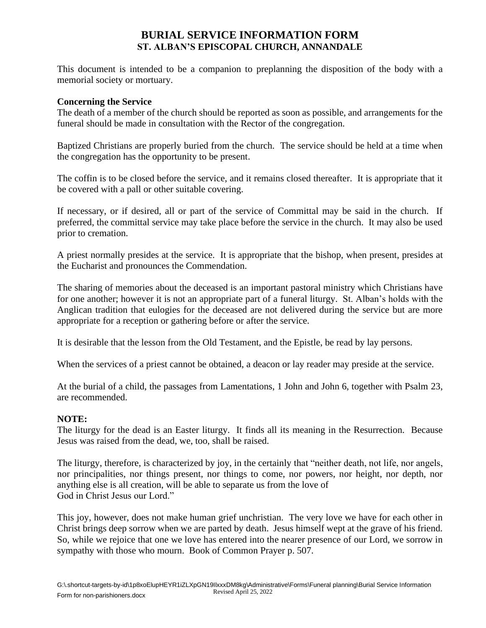# **BURIAL SERVICE INFORMATION FORM ST. ALBAN'S EPISCOPAL CHURCH, ANNANDALE**

This document is intended to be a companion to preplanning the disposition of the body with a memorial society or mortuary.

#### **Concerning the Service**

The death of a member of the church should be reported as soon as possible, and arrangements for the funeral should be made in consultation with the Rector of the congregation.

Baptized Christians are properly buried from the church. The service should be held at a time when the congregation has the opportunity to be present.

The coffin is to be closed before the service, and it remains closed thereafter. It is appropriate that it be covered with a pall or other suitable covering.

If necessary, or if desired, all or part of the service of Committal may be said in the church. If preferred, the committal service may take place before the service in the church. It may also be used prior to cremation.

A priest normally presides at the service. It is appropriate that the bishop, when present, presides at the Eucharist and pronounces the Commendation.

The sharing of memories about the deceased is an important pastoral ministry which Christians have for one another; however it is not an appropriate part of a funeral liturgy. St. Alban's holds with the Anglican tradition that eulogies for the deceased are not delivered during the service but are more appropriate for a reception or gathering before or after the service.

It is desirable that the lesson from the Old Testament, and the Epistle, be read by lay persons.

When the services of a priest cannot be obtained, a deacon or lay reader may preside at the service.

At the burial of a child, the passages from Lamentations, 1 John and John 6, together with Psalm 23, are recommended.

#### **NOTE:**

The liturgy for the dead is an Easter liturgy. It finds all its meaning in the Resurrection. Because Jesus was raised from the dead, we, too, shall be raised.

The liturgy, therefore, is characterized by joy, in the certainly that "neither death, not life, nor angels, nor principalities, nor things present, nor things to come, nor powers, nor height, nor depth, nor anything else is all creation, will be able to separate us from the love of God in Christ Jesus our Lord."

This joy, however, does not make human grief unchristian. The very love we have for each other in Christ brings deep sorrow when we are parted by death. Jesus himself wept at the grave of his friend. So, while we rejoice that one we love has entered into the nearer presence of our Lord, we sorrow in sympathy with those who mourn. Book of Common Prayer p. 507.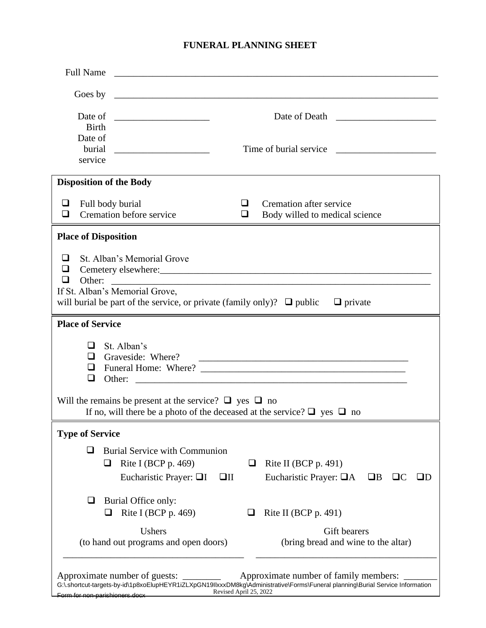# **FUNERAL PLANNING SHEET**

| <b>Full Name</b><br><u> 1989 - Johann Barbara, margaret eta biztanleria (h. 1989).</u>                                                                                              |                                                                                                                                                                                                                                |  |  |  |  |  |
|-------------------------------------------------------------------------------------------------------------------------------------------------------------------------------------|--------------------------------------------------------------------------------------------------------------------------------------------------------------------------------------------------------------------------------|--|--|--|--|--|
| Goes by                                                                                                                                                                             | <u> 1989 - Johann Stoff, amerikansk politiker (d. 1989)</u>                                                                                                                                                                    |  |  |  |  |  |
| Date of<br><b>Birth</b><br>Date of                                                                                                                                                  |                                                                                                                                                                                                                                |  |  |  |  |  |
| burial<br>service                                                                                                                                                                   | Time of burial service                                                                                                                                                                                                         |  |  |  |  |  |
| <b>Disposition of the Body</b>                                                                                                                                                      |                                                                                                                                                                                                                                |  |  |  |  |  |
| Full body burial<br>⊔<br>Cremation before service<br>ப                                                                                                                              | Cremation after service<br>ப<br>Body willed to medical science<br>❏                                                                                                                                                            |  |  |  |  |  |
| <b>Place of Disposition</b>                                                                                                                                                         |                                                                                                                                                                                                                                |  |  |  |  |  |
| St. Alban's Memorial Grove<br>ப<br>⊔<br>ப<br>Other:<br>If St. Alban's Memorial Grove,<br>will burial be part of the service, or private (family only)? $\Box$ public $\Box$ private | Cemetery elsewhere: with the contract of the contract of the contract of the contract of the contract of the contract of the contract of the contract of the contract of the contract of the contract of the contract of the c |  |  |  |  |  |
| <b>Place of Service</b>                                                                                                                                                             |                                                                                                                                                                                                                                |  |  |  |  |  |
| St. Alban's<br>ப<br>Graveside: Where?<br>ப<br><u> 1989 - Johann John Stein, fransk politik (f. 1989)</u><br>□<br>◻                                                                  |                                                                                                                                                                                                                                |  |  |  |  |  |
| Will the remains be present at the service? $\Box$ yes $\Box$ no<br>If no, will there be a photo of the deceased at the service? $\Box$ yes $\Box$ no                               |                                                                                                                                                                                                                                |  |  |  |  |  |
| <b>Type of Service</b>                                                                                                                                                              |                                                                                                                                                                                                                                |  |  |  |  |  |
| <b>Burial Service with Communion</b><br>ப<br>Rite I (BCP p. $469$ )<br>⊔<br>$\Box$<br>Eucharistic Prayer: $\Box I$                                                                  | Rite II (BCP p. 491)<br>⊔<br>$\Box B$<br>Eucharistic Prayer: $\Box A$<br>$\Box C$<br>LD                                                                                                                                        |  |  |  |  |  |
| Burial Office only:<br>⊔<br>Rite I (BCP p. $469$ )                                                                                                                                  | Rite II (BCP p. 491)                                                                                                                                                                                                           |  |  |  |  |  |
| <b>Ushers</b><br>(to hand out programs and open doors)                                                                                                                              | Gift bearers<br>(bring bread and wine to the altar)                                                                                                                                                                            |  |  |  |  |  |
| Approximate number of guests: ________<br>Form for non-parishioners.docx                                                                                                            | Approximate number of family members:<br>G:\.shortcut-targets-by-id\1p8xoElupHEYR1iZLXpGN19llxxxDM8kg\Administrative\Forms\Funeral planning\Burial Service Information<br>Revised April 25, 2022                               |  |  |  |  |  |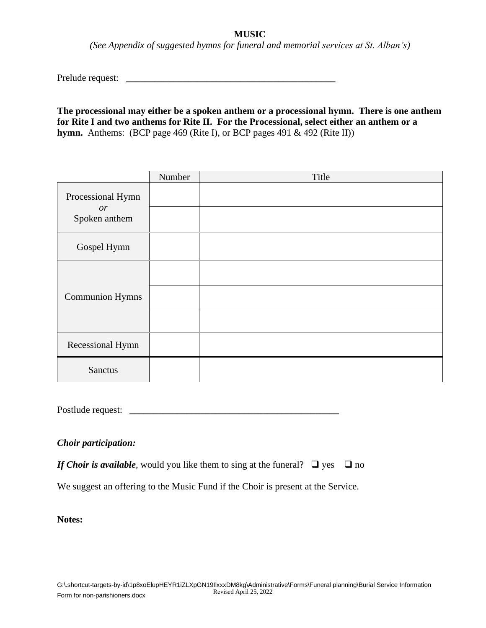#### **MUSIC**

*(See Appendix of suggested hymns for funeral and memorial services at St. Alban's)*

Prelude request: **\_\_\_\_\_\_\_\_\_\_\_\_\_\_\_\_\_\_\_\_\_\_\_\_\_\_\_\_\_\_\_\_\_\_\_\_\_\_\_\_\_\_\_\_**

**The processional may either be a spoken anthem or a processional hymn. There is one anthem for Rite I and two anthems for Rite II. For the Processional, select either an anthem or a hymn.** Anthems: (BCP page 469 (Rite I), or BCP pages 491 & 492 (Rite II))

|                        | Number | Title |
|------------------------|--------|-------|
| Processional Hymn      |        |       |
| or<br>Spoken anthem    |        |       |
| Gospel Hymn            |        |       |
| <b>Communion Hymns</b> |        |       |
|                        |        |       |
|                        |        |       |
| Recessional Hymn       |        |       |
| Sanctus                |        |       |

Postlude request: **\_\_\_\_\_\_\_\_\_\_\_\_\_\_\_\_\_\_\_\_\_\_\_\_\_\_\_\_\_\_\_\_\_\_\_\_\_\_\_\_\_\_\_\_**

### *Choir participation:*

*If Choir is available*, would you like them to sing at the funeral?  $\Box$  yes  $\Box$  no

We suggest an offering to the Music Fund if the Choir is present at the Service.

**Notes:**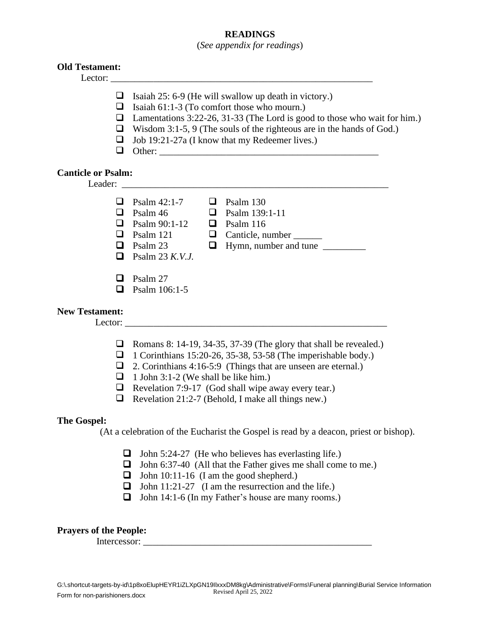#### **READINGS**

(*See appendix for readings*)

# **Old Testament:**

Lector:

- $\Box$  Isaiah 25: 6-9 (He will swallow up death in victory.)
- ❑ Isaiah 61:1-3 (To comfort those who mourn.)
- $\Box$  Lamentations 3:22-26, 31-33 (The Lord is good to those who wait for him.)
- ❑ Wisdom 3:1-5, 9 (The souls of the righteous are in the hands of God.)
- $\Box$  Job 19:21-27a (I know that my Redeemer lives.)
- ❑ Other: \_\_\_\_\_\_\_\_\_\_\_\_\_\_\_\_\_\_\_\_\_\_\_\_\_\_\_\_\_\_\_\_\_\_\_\_\_\_\_\_\_\_\_\_\_\_

#### **Canticle or Psalm:**

 $Leader$ :  $\Box$  Psalm 42:1-7  $\Box$  Psalm 130  $\Box$  Psalm 46  $\Box$  Psalm 139:1-11  $\Box$  Psalm 90:1-12  $\Box$  Psalm 116  $\Box$  Psalm 121  $\Box$  Canticle, number  $\Box$  $\Box$  Psalm 23  $\Box$  Hymn, number and tune  $\Box$ ❑ Psalm 23 *K.V.J.* ❑ Psalm 27 ❑ Psalm 106:1-5 **New Testament:** Lector: \_\_\_\_\_\_\_\_\_\_\_\_\_\_\_\_\_\_\_\_\_\_\_\_\_\_\_\_\_\_\_\_\_\_\_\_\_\_\_\_\_\_\_\_\_\_\_\_\_\_\_\_\_\_\_  $\Box$  Romans 8: 14-19, 34-35, 37-39 (The glory that shall be revealed.)  $\Box$  1 Corinthians 15:20-26, 35-38, 53-58 (The imperishable body.) ❑ 2. Corinthians 4:16-5:9 (Things that are unseen are eternal.)  $\Box$  1 John 3:1-2 (We shall be like him.) ❑ Revelation 7:9-17 (God shall wipe away every tear.)

# $\Box$  Revelation 21:2-7 (Behold, I make all things new.)

#### **The Gospel:**

(At a celebration of the Eucharist the Gospel is read by a deacon, priest or bishop).

- $\Box$  John 5:24-27 (He who believes has everlasting life.)
- ❑ John 6:37-40 (All that the Father gives me shall come to me.)
- $\Box$  John 10:11-16 (I am the good shepherd.)
- $\Box$  John 11:21-27 (I am the resurrection and the life.)
- ❑ John 14:1-6 (In my Father's house are many rooms.)

#### **Prayers of the People:**

Intercessor: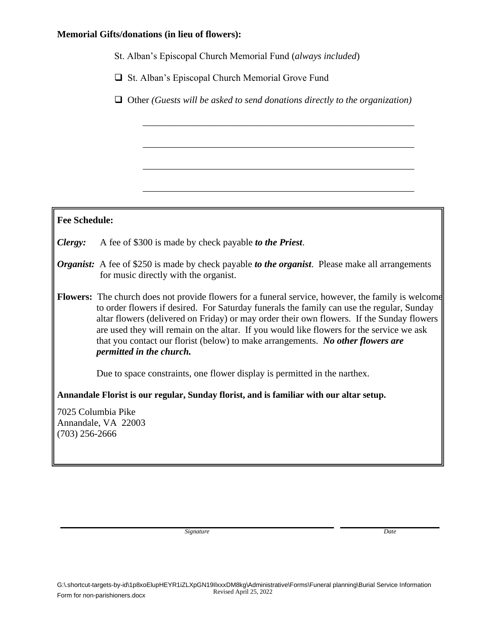### **Memorial Gifts/donations (in lieu of flowers):**

| St. Alban's Episcopal Church Memorial Fund (always included) |  |
|--------------------------------------------------------------|--|
|--------------------------------------------------------------|--|

- ❑ St. Alban's Episcopal Church Memorial Grove Fund
- ❑ Other *(Guests will be asked to send donations directly to the organization)*

\_\_\_\_\_\_\_\_\_\_\_\_\_\_\_\_\_\_\_\_\_\_\_\_\_\_\_\_\_\_\_\_\_\_\_\_\_\_\_\_\_\_\_\_\_\_\_\_\_\_\_\_\_\_\_\_\_

\_\_\_\_\_\_\_\_\_\_\_\_\_\_\_\_\_\_\_\_\_\_\_\_\_\_\_\_\_\_\_\_\_\_\_\_\_\_\_\_\_\_\_\_\_\_\_\_\_\_\_\_\_\_\_\_\_

\_\_\_\_\_\_\_\_\_\_\_\_\_\_\_\_\_\_\_\_\_\_\_\_\_\_\_\_\_\_\_\_\_\_\_\_\_\_\_\_\_\_\_\_\_\_\_\_\_\_\_\_\_\_\_\_\_

\_\_\_\_\_\_\_\_\_\_\_\_\_\_\_\_\_\_\_\_\_\_\_\_\_\_\_\_\_\_\_\_\_\_\_\_\_\_\_\_\_\_\_\_\_\_\_\_\_\_\_\_\_\_\_\_\_

| <b>Fee Schedule:</b> |                                                                                                                                                                                                                                                                                                                                                                                                                                                                                                                |
|----------------------|----------------------------------------------------------------------------------------------------------------------------------------------------------------------------------------------------------------------------------------------------------------------------------------------------------------------------------------------------------------------------------------------------------------------------------------------------------------------------------------------------------------|
| Clergy:              | A fee of \$300 is made by check payable <i>to the Priest</i> .                                                                                                                                                                                                                                                                                                                                                                                                                                                 |
|                      | Organist: A fee of \$250 is made by check payable to the organist. Please make all arrangements<br>for music directly with the organist.                                                                                                                                                                                                                                                                                                                                                                       |
|                      | <b>Flowers:</b> The church does not provide flowers for a funeral service, however, the family is welcome<br>to order flowers if desired. For Saturday funerals the family can use the regular, Sunday<br>altar flowers (delivered on Friday) or may order their own flowers. If the Sunday flowers<br>are used they will remain on the altar. If you would like flowers for the service we ask<br>that you contact our florist (below) to make arrangements. No other flowers are<br>permitted in the church. |
|                      | Due to space constraints, one flower display is permitted in the narthex.                                                                                                                                                                                                                                                                                                                                                                                                                                      |
|                      | Annandale Florist is our regular, Sunday florist, and is familiar with our altar setup.                                                                                                                                                                                                                                                                                                                                                                                                                        |
| $(703)$ 256-2666     | 7025 Columbia Pike<br>Annandale, VA 22003                                                                                                                                                                                                                                                                                                                                                                                                                                                                      |

*Signature Date*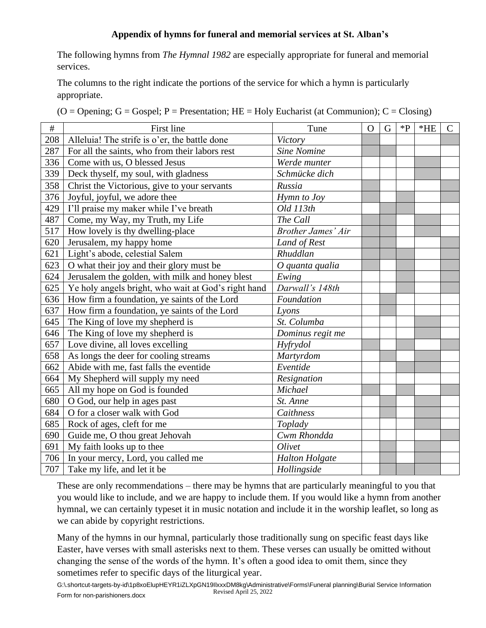### **Appendix of hymns for funeral and memorial services at St. Alban's**

The following hymns from *The Hymnal 1982* are especially appropriate for funeral and memorial services.

The columns to the right indicate the portions of the service for which a hymn is particularly appropriate.

| $\#$ | First line                                          | Tune                      | $\Omega$ | G | $*P$ | $*HE$ |  |
|------|-----------------------------------------------------|---------------------------|----------|---|------|-------|--|
| 208  | Alleluia! The strife is o'er, the battle done       | Victory                   |          |   |      |       |  |
| 287  | For all the saints, who from their labors rest      | <b>Sine Nomine</b>        |          |   |      |       |  |
| 336  | Come with us, O blessed Jesus                       | Werde munter              |          |   |      |       |  |
| 339  | Deck thyself, my soul, with gladness                | Schmücke dich             |          |   |      |       |  |
| 358  | Christ the Victorious, give to your servants        | Russia                    |          |   |      |       |  |
| 376  | Joyful, joyful, we adore thee                       | Hymn to Joy               |          |   |      |       |  |
| 429  | I'll praise my maker while I've breath              | Old 113th                 |          |   |      |       |  |
| 487  | Come, my Way, my Truth, my Life                     | The Call                  |          |   |      |       |  |
| 517  | How lovely is thy dwelling-place                    | <b>Brother James' Air</b> |          |   |      |       |  |
| 620  | Jerusalem, my happy home                            | Land of Rest              |          |   |      |       |  |
| 621  | Light's abode, celestial Salem                      | Rhuddlan                  |          |   |      |       |  |
| 623  | O what their joy and their glory must be            | O quanta qualia           |          |   |      |       |  |
| 624  | Jerusalem the golden, with milk and honey blest     | Ewing                     |          |   |      |       |  |
| 625  | Ye holy angels bright, who wait at God's right hand | Darwall's 148th           |          |   |      |       |  |
| 636  | How firm a foundation, ye saints of the Lord        | Foundation                |          |   |      |       |  |
| 637  | How firm a foundation, ye saints of the Lord        | Lyons                     |          |   |      |       |  |
| 645  | The King of love my shepherd is                     | St. Columba               |          |   |      |       |  |
| 646  | The King of love my shepherd is                     | Dominus regit me          |          |   |      |       |  |
| 657  | Love divine, all loves excelling                    | Hyfrydol                  |          |   |      |       |  |
| 658  | As longs the deer for cooling streams               | Martyrdom                 |          |   |      |       |  |
| 662  | Abide with me, fast falls the eventide              | Eventide                  |          |   |      |       |  |
| 664  | My Shepherd will supply my need                     | Resignation               |          |   |      |       |  |
| 665  | All my hope on God is founded                       | Michael                   |          |   |      |       |  |
| 680  | O God, our help in ages past                        | St. Anne                  |          |   |      |       |  |
| 684  | O for a closer walk with God                        | Caithness                 |          |   |      |       |  |
| 685  | Rock of ages, cleft for me                          | Toplady                   |          |   |      |       |  |
| 690  | Guide me, O thou great Jehovah                      | Cwm Rhondda               |          |   |      |       |  |
| 691  | My faith looks up to thee                           | Olivet                    |          |   |      |       |  |
| 706  | In your mercy, Lord, you called me                  | <b>Halton Holgate</b>     |          |   |      |       |  |
| 707  | Take my life, and let it be                         | Hollingside               |          |   |      |       |  |

These are only recommendations – there may be hymns that are particularly meaningful to you that you would like to include, and we are happy to include them. If you would like a hymn from another hymnal, we can certainly typeset it in music notation and include it in the worship leaflet, so long as we can abide by copyright restrictions.

Many of the hymns in our hymnal, particularly those traditionally sung on specific feast days like Easter, have verses with small asterisks next to them. These verses can usually be omitted without changing the sense of the words of the hymn. It's often a good idea to omit them, since they sometimes refer to specific days of the liturgical year.

G:\.shortcut-targets-by-id\1p8xoElupHEYR1iZLXpGN19IlxxxDM8kg\Administrative\Forms\Funeral planning\Burial Service Information<br>Form for non-nariphioners docx Form for non-parishioners.docx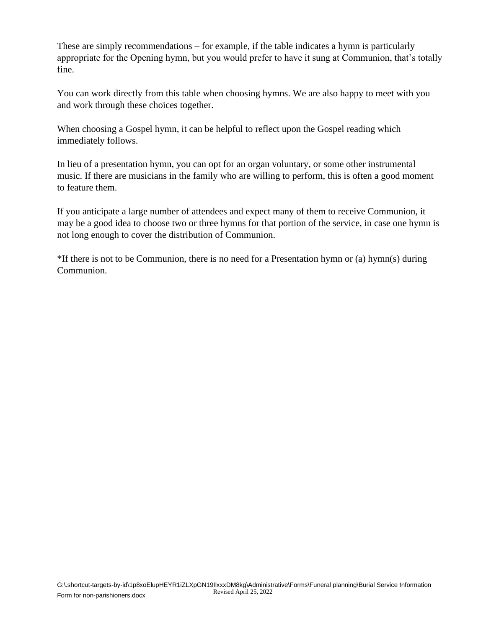These are simply recommendations – for example, if the table indicates a hymn is particularly appropriate for the Opening hymn, but you would prefer to have it sung at Communion, that's totally fine.

You can work directly from this table when choosing hymns. We are also happy to meet with you and work through these choices together.

When choosing a Gospel hymn, it can be helpful to reflect upon the Gospel reading which immediately follows.

In lieu of a presentation hymn, you can opt for an organ voluntary, or some other instrumental music. If there are musicians in the family who are willing to perform, this is often a good moment to feature them.

If you anticipate a large number of attendees and expect many of them to receive Communion, it may be a good idea to choose two or three hymns for that portion of the service, in case one hymn is not long enough to cover the distribution of Communion.

\*If there is not to be Communion, there is no need for a Presentation hymn or (a) hymn(s) during Communion.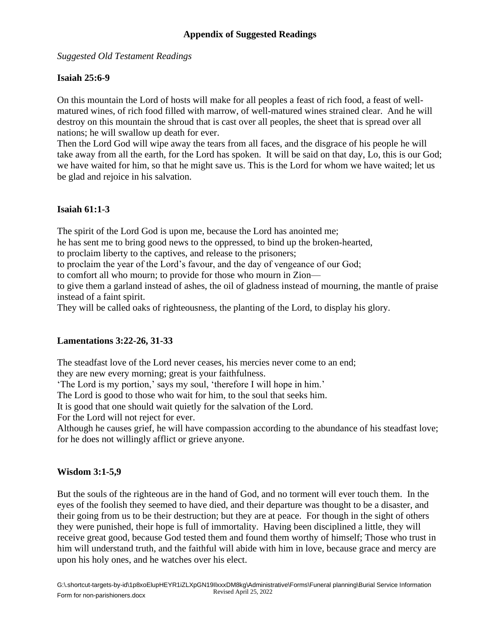*Suggested Old Testament Readings*

# **Isaiah 25:6-9**

On this mountain the Lord of hosts will make for all peoples a feast of rich food, a feast of wellmatured wines, of rich food filled with marrow, of well-matured wines strained clear. And he will destroy on this mountain the shroud that is cast over all peoples, the sheet that is spread over all nations; he will swallow up death for ever.

Then the Lord God will wipe away the tears from all faces, and the disgrace of his people he will take away from all the earth, for the Lord has spoken. It will be said on that day, Lo, this is our God; we have waited for him, so that he might save us. This is the Lord for whom we have waited; let us be glad and rejoice in his salvation.

# **Isaiah 61:1-3**

The spirit of the Lord God is upon me, because the Lord has anointed me;

he has sent me to bring good news to the oppressed, to bind up the broken-hearted,

to proclaim liberty to the captives, and release to the prisoners;

to proclaim the year of the Lord's favour, and the day of vengeance of our God;

to comfort all who mourn; to provide for those who mourn in Zion—

to give them a garland instead of ashes, the oil of gladness instead of mourning, the mantle of praise instead of a faint spirit.

They will be called oaks of righteousness, the planting of the Lord, to display his glory.

# **Lamentations 3:22-26, 31-33**

The steadfast love of the Lord never ceases, his mercies never come to an end;

they are new every morning; great is your faithfulness.

'The Lord is my portion,' says my soul, 'therefore I will hope in him.'

The Lord is good to those who wait for him, to the soul that seeks him.

It is good that one should wait quietly for the salvation of the Lord.

For the Lord will not reject for ever.

Although he causes grief, he will have compassion according to the abundance of his steadfast love; for he does not willingly afflict or grieve anyone.

# **Wisdom 3:1-5,9**

But the souls of the righteous are in the hand of God, and no torment will ever touch them. In the eyes of the foolish they seemed to have died, and their departure was thought to be a disaster, and their going from us to be their destruction; but they are at peace. For though in the sight of others they were punished, their hope is full of immortality. Having been disciplined a little, they will receive great good, because God tested them and found them worthy of himself; Those who trust in him will understand truth, and the faithful will abide with him in love, because grace and mercy are upon his holy ones, and he watches over his elect.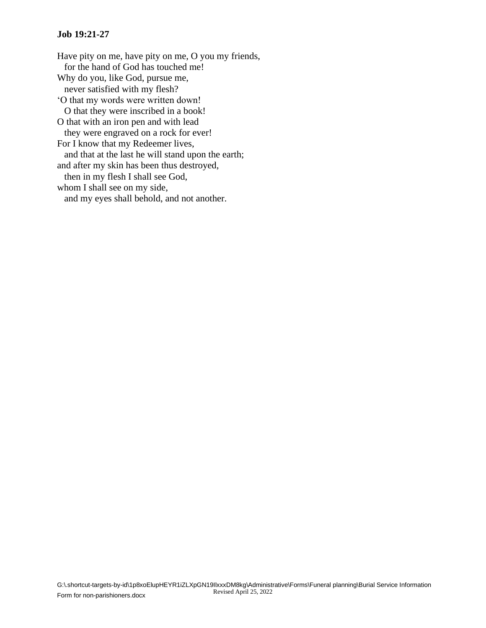#### **Job 19:21-27**

Have pity on me, have pity on me, O you my friends, for the hand of God has touched me! Why do you, like God, pursue me, never satisfied with my flesh? 'O that my words were written down! O that they were inscribed in a book! O that with an iron pen and with lead they were engraved on a rock for ever! For I know that my Redeemer lives, and that at the last he will stand upon the earth; and after my skin has been thus destroyed, then in my flesh I shall see God, whom I shall see on my side, and my eyes shall behold, and not another.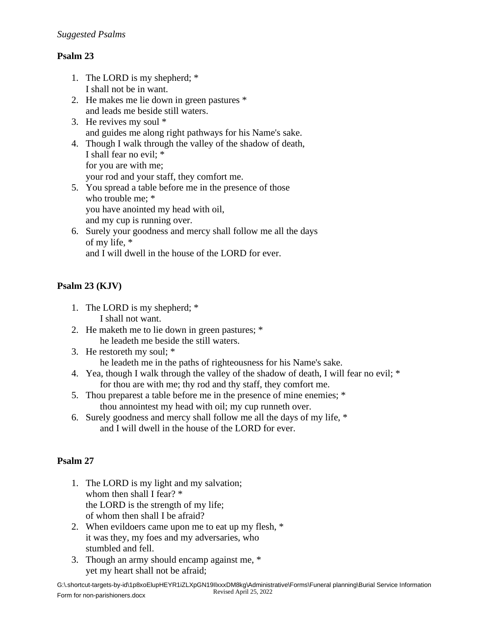### *Suggested Psalms*

### **Psalm 23**

- 1. The LORD is my shepherd; \* I shall not be in want.
- 2. He makes me lie down in green pastures \* and leads me beside still waters.
- 3. He revives my soul \* and guides me along right pathways for his Name's sake.
- 4. Though I walk through the valley of the shadow of death, I shall fear no evil; \* for you are with me; your rod and your staff, they comfort me.
- 5. You spread a table before me in the presence of those who trouble me; \* you have anointed my head with oil, and my cup is running over.
- 6. Surely your goodness and mercy shall follow me all the days of my life, \* and I will dwell in the house of the LORD for ever.

# **Psalm 23 (KJV)**

- 1. The LORD is my shepherd; \* I shall not want.
- 2. He maketh me to lie down in green pastures; \* he leadeth me beside the still waters.
- 3. He restoreth my soul; \*

he leadeth me in the paths of righteousness for his Name's sake.

- 4. Yea, though I walk through the valley of the shadow of death, I will fear no evil; \* for thou are with me; thy rod and thy staff, they comfort me.
- 5. Thou preparest a table before me in the presence of mine enemies; \* thou annointest my head with oil; my cup runneth over.
- 6. Surely goodness and mercy shall follow me all the days of my life, \* and I will dwell in the house of the LORD for ever.

# **Psalm 27**

- 1. The LORD is my light and my salvation; whom then shall I fear? \* the LORD is the strength of my life; of whom then shall I be afraid?
- 2. When evildoers came upon me to eat up my flesh, \* it was they, my foes and my adversaries, who stumbled and fell.
- 3. Though an army should encamp against me, \* yet my heart shall not be afraid;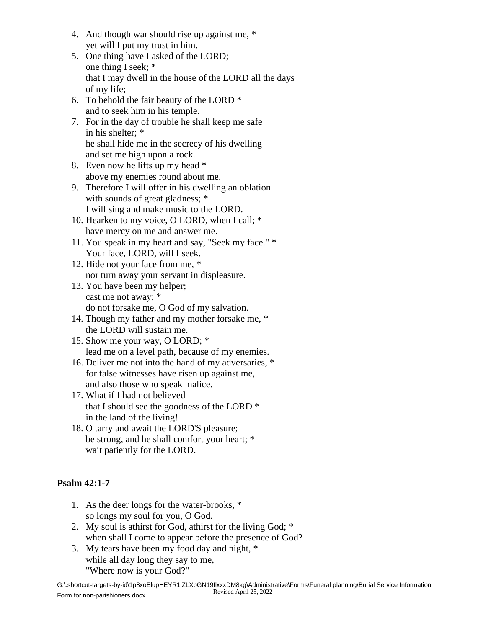- 4. And though war should rise up against me, \* yet will I put my trust in him.
- 5. One thing have I asked of the LORD; one thing I seek; \* that I may dwell in the house of the LORD all the days of my life;
- 6. To behold the fair beauty of the LORD \* and to seek him in his temple.
- 7. For in the day of trouble he shall keep me safe in his shelter; \* he shall hide me in the secrecy of his dwelling and set me high upon a rock.
- 8. Even now he lifts up my head \* above my enemies round about me.
- 9. Therefore I will offer in his dwelling an oblation with sounds of great gladness;  $*$ I will sing and make music to the LORD.
- 10. Hearken to my voice, O LORD, when I call; \* have mercy on me and answer me.
- 11. You speak in my heart and say, "Seek my face." \* Your face, LORD, will I seek.
- 12. Hide not your face from me, \* nor turn away your servant in displeasure.
- 13. You have been my helper; cast me not away; \* do not forsake me, O God of my salvation.
- 14. Though my father and my mother forsake me, \* the LORD will sustain me.
- 15. Show me your way, O LORD; \* lead me on a level path, because of my enemies.
- 16. Deliver me not into the hand of my adversaries, \* for false witnesses have risen up against me, and also those who speak malice.
- 17. What if I had not believed that I should see the goodness of the LORD \* in the land of the living!
- 18. O tarry and await the LORD'S pleasure; be strong, and he shall comfort your heart; \* wait patiently for the LORD.

# **Psalm 42:1-7**

- 1. As the deer longs for the water-brooks, \* so longs my soul for you, O God.
- 2. My soul is athirst for God, athirst for the living God; \* when shall I come to appear before the presence of God?
- 3. My tears have been my food day and night, \* while all day long they say to me, "Where now is your God?"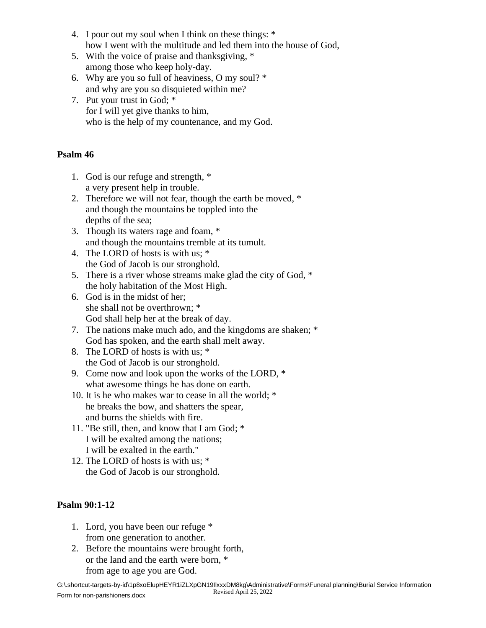- 4. I pour out my soul when I think on these things: \* how I went with the multitude and led them into the house of God,
- 5. With the voice of praise and thanksgiving, \* among those who keep holy-day.
- 6. Why are you so full of heaviness, O my soul? \* and why are you so disquieted within me?
- 7. Put your trust in God; \* for I will yet give thanks to him, who is the help of my countenance, and my God.

### **Psalm 46**

- 1. God is our refuge and strength, \* a very present help in trouble.
- 2. Therefore we will not fear, though the earth be moved, \* and though the mountains be toppled into the depths of the sea;
- 3. Though its waters rage and foam, \* and though the mountains tremble at its tumult.
- 4. The LORD of hosts is with us; \* the God of Jacob is our stronghold.
- 5. There is a river whose streams make glad the city of God, \* the holy habitation of the Most High.
- 6. God is in the midst of her; she shall not be overthrown; \* God shall help her at the break of day.
- 7. The nations make much ado, and the kingdoms are shaken; \* God has spoken, and the earth shall melt away.
- 8. The LORD of hosts is with us; \* the God of Jacob is our stronghold.
- 9. Come now and look upon the works of the LORD, \* what awesome things he has done on earth.
- 10. It is he who makes war to cease in all the world; \* he breaks the bow, and shatters the spear, and burns the shields with fire.
- 11. "Be still, then, and know that I am God; \* I will be exalted among the nations; I will be exalted in the earth."
- 12. The LORD of hosts is with us; \* the God of Jacob is our stronghold.

# **Psalm 90:1-12**

- 1. Lord, you have been our refuge \* from one generation to another.
- 2. Before the mountains were brought forth, or the land and the earth were born, \* from age to age you are God.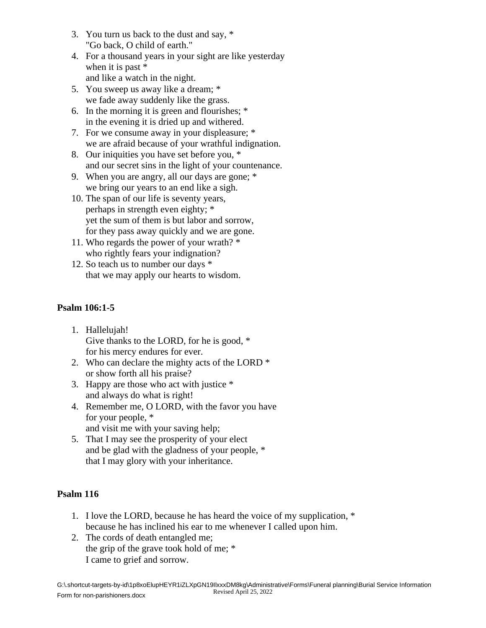- 3. You turn us back to the dust and say, \* "Go back, O child of earth."
- 4. For a thousand years in your sight are like yesterday when it is past \* and like a watch in the night.
- 5. You sweep us away like a dream; \* we fade away suddenly like the grass.
- 6. In the morning it is green and flourishes; \* in the evening it is dried up and withered.
- 7. For we consume away in your displeasure; \* we are afraid because of your wrathful indignation.
- 8. Our iniquities you have set before you, \* and our secret sins in the light of your countenance.
- 9. When you are angry, all our days are gone; \* we bring our years to an end like a sigh.
- 10. The span of our life is seventy years, perhaps in strength even eighty; \* yet the sum of them is but labor and sorrow, for they pass away quickly and we are gone.
- 11. Who regards the power of your wrath? \* who rightly fears your indignation?
- 12. So teach us to number our days \* that we may apply our hearts to wisdom.

# **Psalm 106:1-5**

- 1. Hallelujah! Give thanks to the LORD, for he is good,  $*$ for his mercy endures for ever.
- 2. Who can declare the mighty acts of the LORD \* or show forth all his praise?
- 3. Happy are those who act with justice \* and always do what is right!
- 4. Remember me, O LORD, with the favor you have for your people, \* and visit me with your saving help;
- 5. That I may see the prosperity of your elect and be glad with the gladness of your people, \* that I may glory with your inheritance.

# **Psalm 116**

- 1. I love the LORD, because he has heard the voice of my supplication, \* because he has inclined his ear to me whenever I called upon him.
- 2. The cords of death entangled me; the grip of the grave took hold of me; \* I came to grief and sorrow.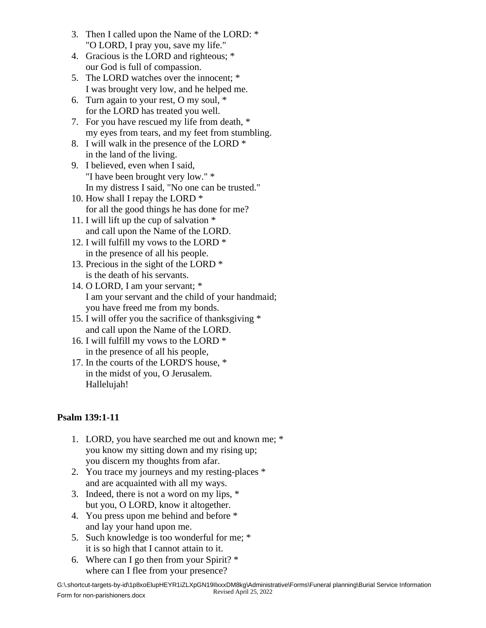- 3. Then I called upon the Name of the LORD: \* "O LORD, I pray you, save my life."
- 4. Gracious is the LORD and righteous; \* our God is full of compassion.
- 5. The LORD watches over the innocent; \* I was brought very low, and he helped me.
- 6. Turn again to your rest, O my soul, \* for the LORD has treated you well.
- 7. For you have rescued my life from death, \* my eyes from tears, and my feet from stumbling.
- 8. I will walk in the presence of the LORD \* in the land of the living.
- 9. I believed, even when I said, "I have been brought very low." \* In my distress I said, "No one can be trusted."
- 10. How shall I repay the LORD \* for all the good things he has done for me?
- 11. I will lift up the cup of salvation \* and call upon the Name of the LORD.
- 12. I will fulfill my vows to the LORD \* in the presence of all his people.
- 13. Precious in the sight of the LORD \* is the death of his servants.
- 14. O LORD, I am your servant; \* I am your servant and the child of your handmaid; you have freed me from my bonds.
- 15. I will offer you the sacrifice of thanksgiving \* and call upon the Name of the LORD.
- 16. I will fulfill my vows to the LORD \* in the presence of all his people,
- 17. In the courts of the LORD'S house, \* in the midst of you, O Jerusalem. Hallelujah!

# **Psalm 139:1-11**

- 1. LORD, you have searched me out and known me; \* you know my sitting down and my rising up; you discern my thoughts from afar.
- 2. You trace my journeys and my resting-places \* and are acquainted with all my ways.
- 3. Indeed, there is not a word on my lips, \* but you, O LORD, know it altogether.
- 4. You press upon me behind and before \* and lay your hand upon me.
- 5. Such knowledge is too wonderful for me; \* it is so high that I cannot attain to it.
- 6. Where can I go then from your Spirit? \* where can I flee from your presence?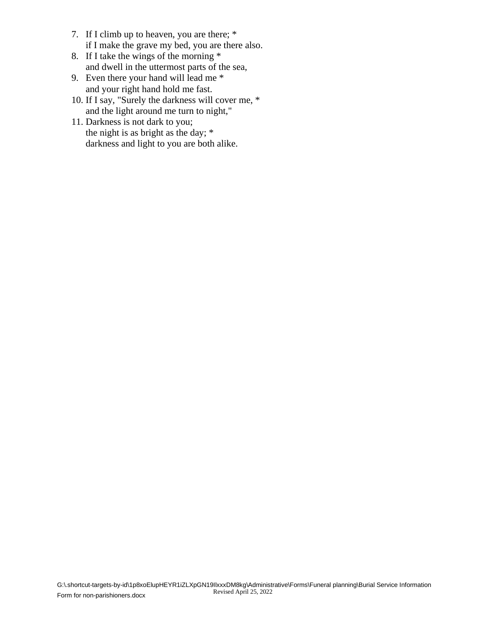- 7. If I climb up to heaven, you are there; \* if I make the grave my bed, you are there also.
- 8. If I take the wings of the morning \* and dwell in the uttermost parts of the sea,
- 9. Even there your hand will lead me \* and your right hand hold me fast.
- 10. If I say, "Surely the darkness will cover me, \* and the light around me turn to night,"
- 11. Darkness is not dark to you; the night is as bright as the day; \* darkness and light to you are both alike.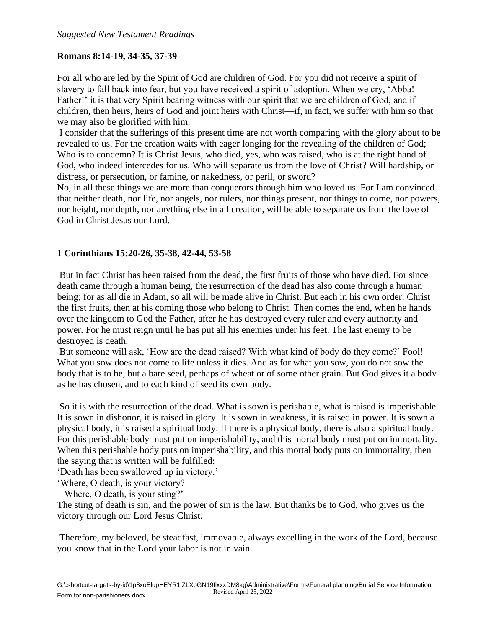#### *Suggested New Testament Readings*

#### **Romans 8:14-19, 34-35, 37-39**

For all who are led by the Spirit of God are children of God. For you did not receive a spirit of slavery to fall back into fear, but you have received a spirit of adoption. When we cry, 'Abba! Father!' it is that very Spirit bearing witness with our spirit that we are children of God, and if children, then heirs, heirs of God and joint heirs with Christ—if, in fact, we suffer with him so that we may also be glorified with him.

I consider that the sufferings of this present time are not worth comparing with the glory about to be revealed to us. For the creation waits with eager longing for the revealing of the children of God; Who is to condemn? It is Christ Jesus, who died, yes, who was raised, who is at the right hand of God, who indeed intercedes for us. Who will separate us from the love of Christ? Will hardship, or distress, or persecution, or famine, or nakedness, or peril, or sword?

No, in all these things we are more than conquerors through him who loved us. For I am convinced that neither death, nor life, nor angels, nor rulers, nor things present, nor things to come, nor powers, nor height, nor depth, nor anything else in all creation, will be able to separate us from the love of God in Christ Jesus our Lord.

### **1 Corinthians 15:20-26, 35-38, 42-44, 53-58**

But in fact Christ has been raised from the dead, the first fruits of those who have died. For since death came through a human being, the resurrection of the dead has also come through a human being; for as all die in Adam, so all will be made alive in Christ. But each in his own order: Christ the first fruits, then at his coming those who belong to Christ. Then comes the end, when he hands over the kingdom to God the Father, after he has destroyed every ruler and every authority and power. For he must reign until he has put all his enemies under his feet. The last enemy to be destroyed is death.

But someone will ask, 'How are the dead raised? With what kind of body do they come?' Fool! What you sow does not come to life unless it dies. And as for what you sow, you do not sow the body that is to be, but a bare seed, perhaps of wheat or of some other grain. But God gives it a body as he has chosen, and to each kind of seed its own body.

So it is with the resurrection of the dead. What is sown is perishable, what is raised is imperishable. It is sown in dishonor, it is raised in glory. It is sown in weakness, it is raised in power. It is sown a physical body, it is raised a spiritual body. If there is a physical body, there is also a spiritual body. For this perishable body must put on imperishability, and this mortal body must put on immortality. When this perishable body puts on imperishability, and this mortal body puts on immortality, then the saying that is written will be fulfilled:

'Death has been swallowed up in victory.'

'Where, O death, is your victory?

Where, O death, is your sting?'

The sting of death is sin, and the power of sin is the law. But thanks be to God, who gives us the victory through our Lord Jesus Christ.

Therefore, my beloved, be steadfast, immovable, always excelling in the work of the Lord, because you know that in the Lord your labor is not in vain.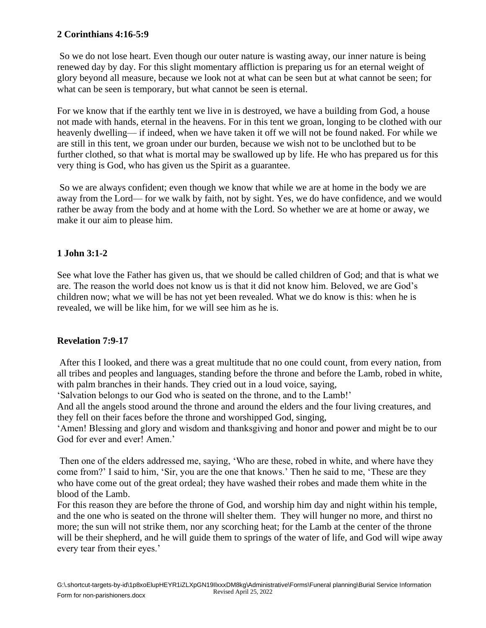### **2 Corinthians 4:16-5:9**

So we do not lose heart. Even though our outer nature is wasting away, our inner nature is being renewed day by day. For this slight momentary affliction is preparing us for an eternal weight of glory beyond all measure, because we look not at what can be seen but at what cannot be seen; for what can be seen is temporary, but what cannot be seen is eternal.

For we know that if the earthly tent we live in is destroyed, we have a building from God, a house not made with hands, eternal in the heavens. For in this tent we groan, longing to be clothed with our heavenly dwelling— if indeed, when we have taken it off we will not be found naked. For while we are still in this tent, we groan under our burden, because we wish not to be unclothed but to be further clothed, so that what is mortal may be swallowed up by life. He who has prepared us for this very thing is God, who has given us the Spirit as a guarantee.

So we are always confident; even though we know that while we are at home in the body we are away from the Lord— for we walk by faith, not by sight. Yes, we do have confidence, and we would rather be away from the body and at home with the Lord. So whether we are at home or away, we make it our aim to please him.

# **1 John 3:1-2**

See what love the Father has given us, that we should be called children of God; and that is what we are. The reason the world does not know us is that it did not know him. Beloved, we are God's children now; what we will be has not yet been revealed. What we do know is this: when he is revealed, we will be like him, for we will see him as he is.

### **Revelation 7:9-17**

After this I looked, and there was a great multitude that no one could count, from every nation, from all tribes and peoples and languages, standing before the throne and before the Lamb, robed in white, with palm branches in their hands. They cried out in a loud voice, saying,

'Salvation belongs to our God who is seated on the throne, and to the Lamb!'

And all the angels stood around the throne and around the elders and the four living creatures, and they fell on their faces before the throne and worshipped God, singing,

'Amen! Blessing and glory and wisdom and thanksgiving and honor and power and might be to our God for ever and ever! Amen.'

Then one of the elders addressed me, saying, 'Who are these, robed in white, and where have they come from?' I said to him, 'Sir, you are the one that knows.' Then he said to me, 'These are they who have come out of the great ordeal; they have washed their robes and made them white in the blood of the Lamb.

For this reason they are before the throne of God, and worship him day and night within his temple, and the one who is seated on the throne will shelter them. They will hunger no more, and thirst no more; the sun will not strike them, nor any scorching heat; for the Lamb at the center of the throne will be their shepherd, and he will guide them to springs of the water of life, and God will wipe away every tear from their eyes.'